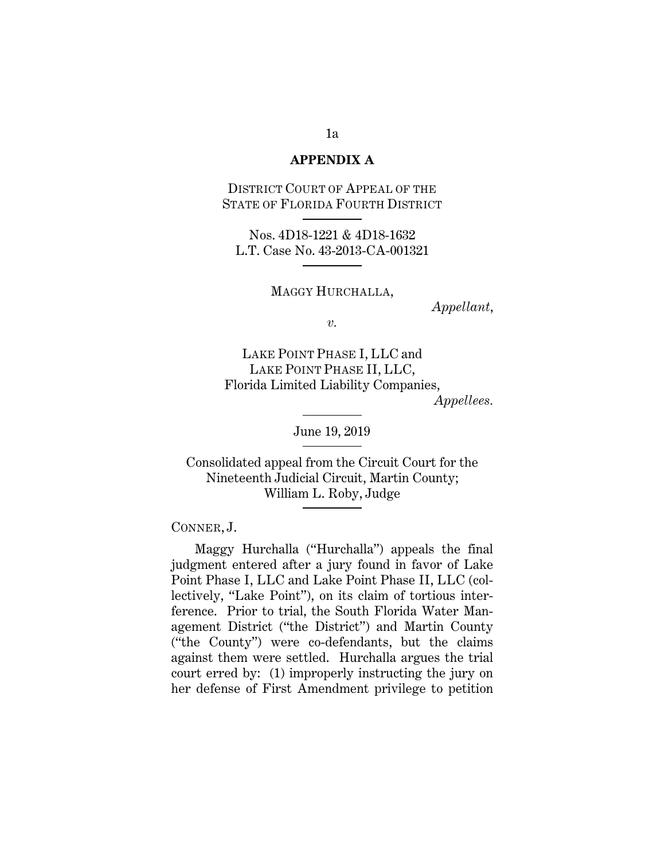## **APPENDIX A**

DISTRICT COURT OF APPEAL OF THE STATE OF FLORIDA FOURTH DISTRICT

Nos. 4D18-1221 & 4D18-1632 L.T. Case No. 43-2013-CA-001321

MAGGY HURCHALLA,

*Appellant*,

*v.* 

LAKE POINT PHASE I, LLC and LAKE POINT PHASE II, LLC, Florida Limited Liability Companies,

*Appellees.* 

June 19, 2019

Consolidated appeal from the Circuit Court for the Nineteenth Judicial Circuit, Martin County; William L. Roby, Judge

CONNER, J.

Maggy Hurchalla ("Hurchalla") appeals the final judgment entered after a jury found in favor of Lake Point Phase I, LLC and Lake Point Phase II, LLC (collectively, "Lake Point"), on its claim of tortious interference. Prior to trial, the South Florida Water Management District ("the District") and Martin County ("the County") were co-defendants, but the claims against them were settled. Hurchalla argues the trial court erred by: (1) improperly instructing the jury on her defense of First Amendment privilege to petition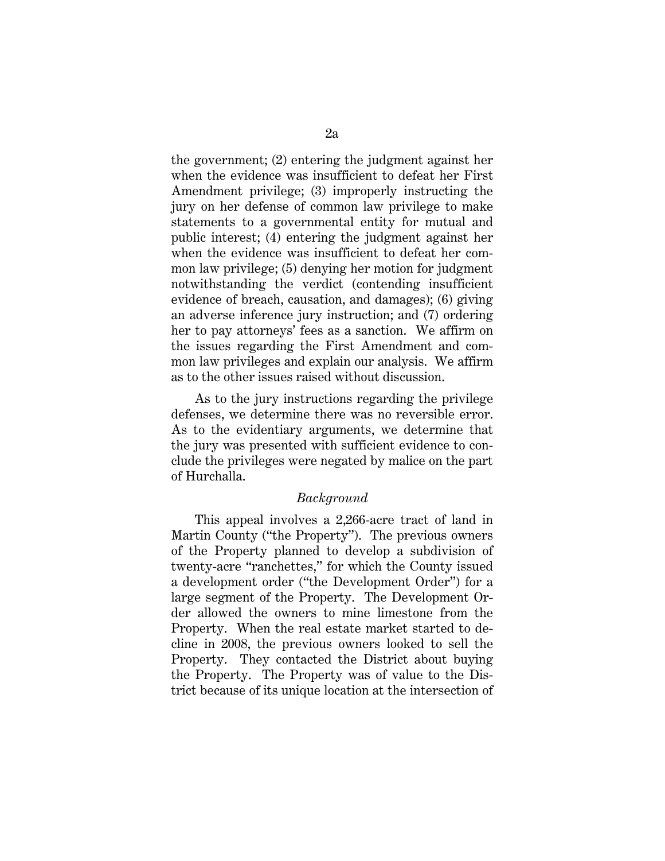the government; (2) entering the judgment against her when the evidence was insufficient to defeat her First Amendment privilege; (3) improperly instructing the jury on her defense of common law privilege to make statements to a governmental entity for mutual and public interest; (4) entering the judgment against her when the evidence was insufficient to defeat her common law privilege; (5) denying her motion for judgment notwithstanding the verdict (contending insufficient evidence of breach, causation, and damages); (6) giving an adverse inference jury instruction; and (7) ordering her to pay attorneys' fees as a sanction. We affirm on the issues regarding the First Amendment and common law privileges and explain our analysis. We affirm as to the other issues raised without discussion.

As to the jury instructions regarding the privilege defenses, we determine there was no reversible error. As to the evidentiary arguments, we determine that the jury was presented with sufficient evidence to conclude the privileges were negated by malice on the part of Hurchalla.

## *Background*

This appeal involves a 2,266-acre tract of land in Martin County ("the Property"). The previous owners of the Property planned to develop a subdivision of twenty-acre "ranchettes," for which the County issued a development order ("the Development Order") for a large segment of the Property. The Development Order allowed the owners to mine limestone from the Property. When the real estate market started to decline in 2008, the previous owners looked to sell the Property. They contacted the District about buying the Property. The Property was of value to the District because of its unique location at the intersection of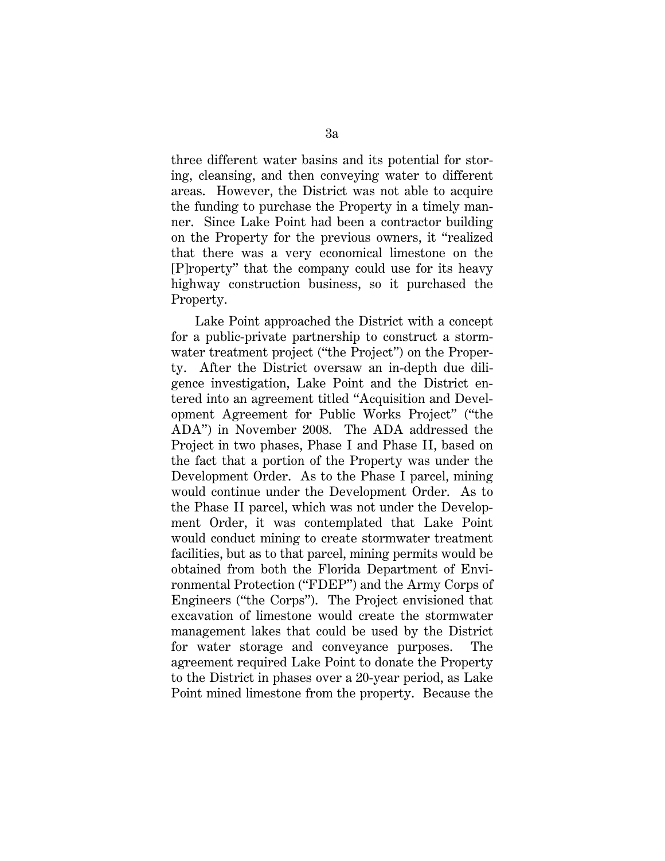three different water basins and its potential for storing, cleansing, and then conveying water to different areas. However, the District was not able to acquire the funding to purchase the Property in a timely manner. Since Lake Point had been a contractor building on the Property for the previous owners, it "realized that there was a very economical limestone on the [P]roperty" that the company could use for its heavy highway construction business, so it purchased the Property.

Lake Point approached the District with a concept for a public-private partnership to construct a stormwater treatment project ("the Project") on the Property. After the District oversaw an in-depth due diligence investigation, Lake Point and the District entered into an agreement titled "Acquisition and Development Agreement for Public Works Project" ("the ADA") in November 2008. The ADA addressed the Project in two phases, Phase I and Phase II, based on the fact that a portion of the Property was under the Development Order. As to the Phase I parcel, mining would continue under the Development Order. As to the Phase II parcel, which was not under the Development Order, it was contemplated that Lake Point would conduct mining to create stormwater treatment facilities, but as to that parcel, mining permits would be obtained from both the Florida Department of Environmental Protection ("FDEP") and the Army Corps of Engineers ("the Corps"). The Project envisioned that excavation of limestone would create the stormwater management lakes that could be used by the District for water storage and conveyance purposes. The agreement required Lake Point to donate the Property to the District in phases over a 20-year period, as Lake Point mined limestone from the property. Because the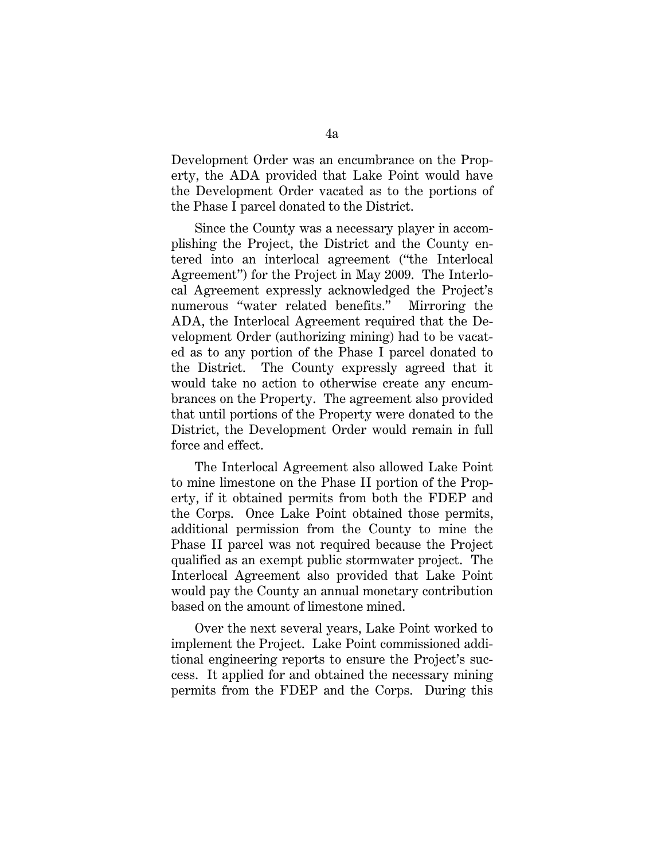Development Order was an encumbrance on the Property, the ADA provided that Lake Point would have the Development Order vacated as to the portions of the Phase I parcel donated to the District.

Since the County was a necessary player in accomplishing the Project, the District and the County entered into an interlocal agreement ("the Interlocal Agreement") for the Project in May 2009. The Interlocal Agreement expressly acknowledged the Project's numerous "water related benefits." Mirroring the ADA, the Interlocal Agreement required that the Development Order (authorizing mining) had to be vacated as to any portion of the Phase I parcel donated to the District. The County expressly agreed that it would take no action to otherwise create any encumbrances on the Property. The agreement also provided that until portions of the Property were donated to the District, the Development Order would remain in full force and effect.

The Interlocal Agreement also allowed Lake Point to mine limestone on the Phase II portion of the Property, if it obtained permits from both the FDEP and the Corps. Once Lake Point obtained those permits, additional permission from the County to mine the Phase II parcel was not required because the Project qualified as an exempt public stormwater project. The Interlocal Agreement also provided that Lake Point would pay the County an annual monetary contribution based on the amount of limestone mined.

Over the next several years, Lake Point worked to implement the Project. Lake Point commissioned additional engineering reports to ensure the Project's success. It applied for and obtained the necessary mining permits from the FDEP and the Corps. During this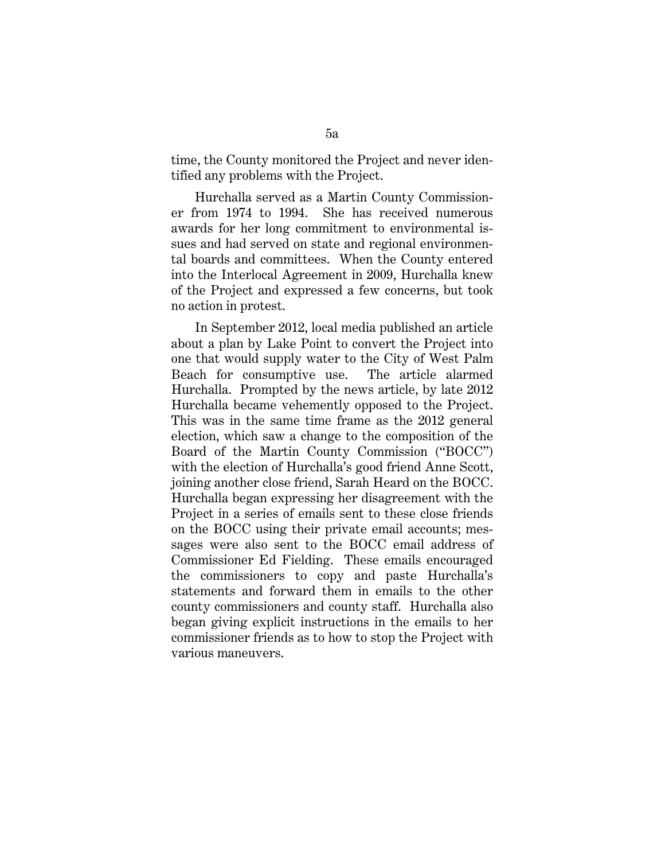time, the County monitored the Project and never identified any problems with the Project.

Hurchalla served as a Martin County Commissioner from 1974 to 1994. She has received numerous awards for her long commitment to environmental issues and had served on state and regional environmental boards and committees. When the County entered into the Interlocal Agreement in 2009, Hurchalla knew of the Project and expressed a few concerns, but took no action in protest.

In September 2012, local media published an article about a plan by Lake Point to convert the Project into one that would supply water to the City of West Palm Beach for consumptive use. The article alarmed Hurchalla. Prompted by the news article, by late 2012 Hurchalla became vehemently opposed to the Project. This was in the same time frame as the 2012 general election, which saw a change to the composition of the Board of the Martin County Commission ("BOCC") with the election of Hurchalla's good friend Anne Scott, joining another close friend, Sarah Heard on the BOCC. Hurchalla began expressing her disagreement with the Project in a series of emails sent to these close friends on the BOCC using their private email accounts; messages were also sent to the BOCC email address of Commissioner Ed Fielding. These emails encouraged the commissioners to copy and paste Hurchalla's statements and forward them in emails to the other county commissioners and county staff. Hurchalla also began giving explicit instructions in the emails to her commissioner friends as to how to stop the Project with various maneuvers.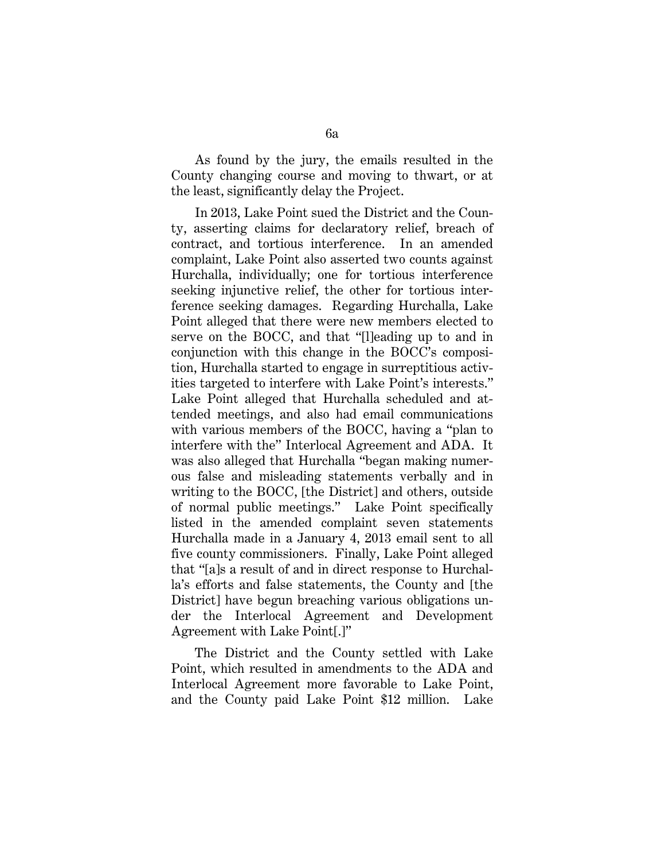As found by the jury, the emails resulted in the County changing course and moving to thwart, or at the least, significantly delay the Project.

In 2013, Lake Point sued the District and the County, asserting claims for declaratory relief, breach of contract, and tortious interference. In an amended complaint, Lake Point also asserted two counts against Hurchalla, individually; one for tortious interference seeking injunctive relief, the other for tortious interference seeking damages. Regarding Hurchalla, Lake Point alleged that there were new members elected to serve on the BOCC, and that "[l]eading up to and in conjunction with this change in the BOCC's composition, Hurchalla started to engage in surreptitious activities targeted to interfere with Lake Point's interests." Lake Point alleged that Hurchalla scheduled and attended meetings, and also had email communications with various members of the BOCC, having a "plan to interfere with the" Interlocal Agreement and ADA. It was also alleged that Hurchalla "began making numerous false and misleading statements verbally and in writing to the BOCC, [the District] and others, outside of normal public meetings." Lake Point specifically listed in the amended complaint seven statements Hurchalla made in a January 4, 2013 email sent to all five county commissioners. Finally, Lake Point alleged that "[a]s a result of and in direct response to Hurchalla's efforts and false statements, the County and [the District] have begun breaching various obligations under the Interlocal Agreement and Development Agreement with Lake Point[.]"

The District and the County settled with Lake Point, which resulted in amendments to the ADA and Interlocal Agreement more favorable to Lake Point, and the County paid Lake Point \$12 million. Lake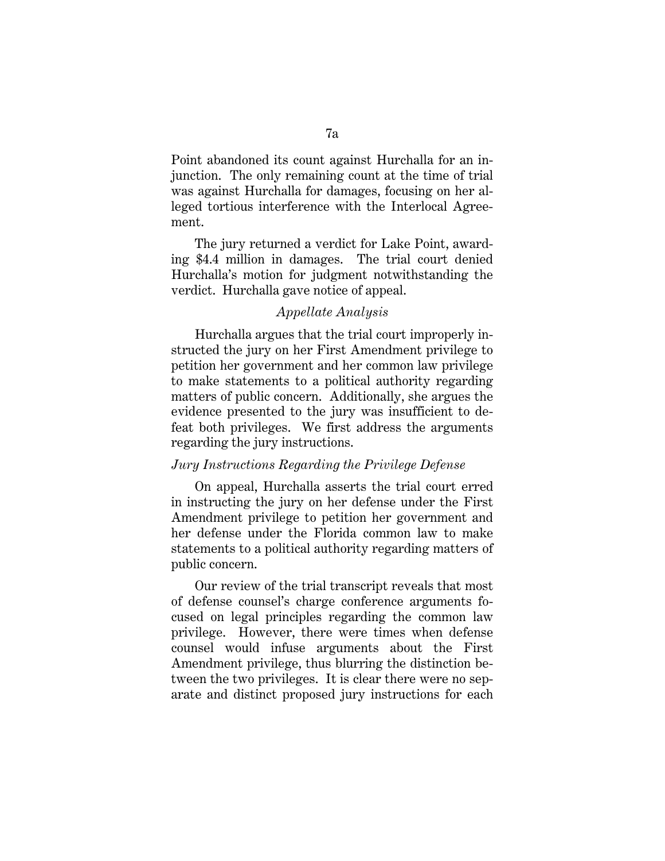Point abandoned its count against Hurchalla for an injunction. The only remaining count at the time of trial was against Hurchalla for damages, focusing on her alleged tortious interference with the Interlocal Agreement.

The jury returned a verdict for Lake Point, awarding \$4.4 million in damages. The trial court denied Hurchalla's motion for judgment notwithstanding the verdict. Hurchalla gave notice of appeal.

## *Appellate Analysis*

Hurchalla argues that the trial court improperly instructed the jury on her First Amendment privilege to petition her government and her common law privilege to make statements to a political authority regarding matters of public concern. Additionally, she argues the evidence presented to the jury was insufficient to defeat both privileges. We first address the arguments regarding the jury instructions.

#### *Jury Instructions Regarding the Privilege Defense*

On appeal, Hurchalla asserts the trial court erred in instructing the jury on her defense under the First Amendment privilege to petition her government and her defense under the Florida common law to make statements to a political authority regarding matters of public concern.

Our review of the trial transcript reveals that most of defense counsel's charge conference arguments focused on legal principles regarding the common law privilege. However, there were times when defense counsel would infuse arguments about the First Amendment privilege, thus blurring the distinction between the two privileges. It is clear there were no separate and distinct proposed jury instructions for each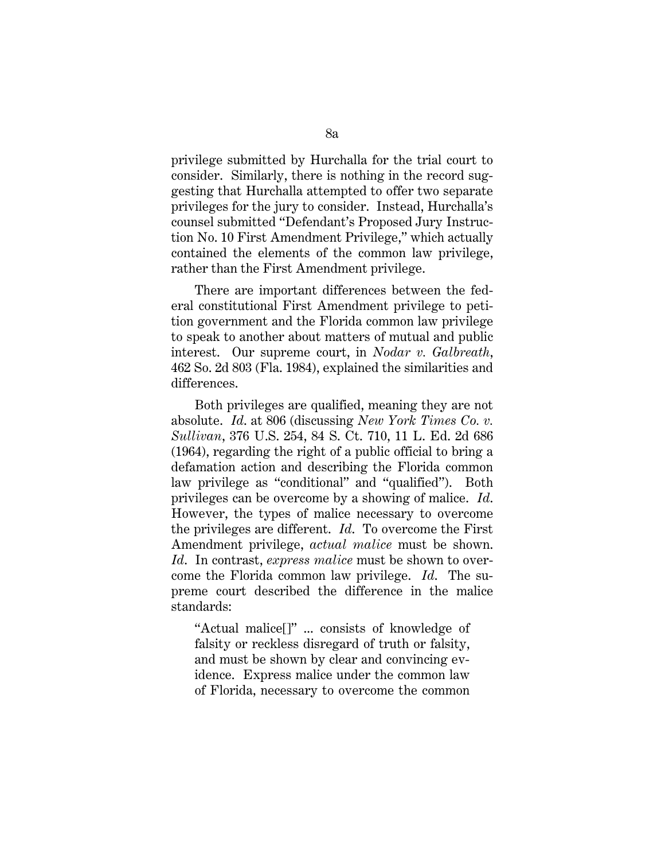privilege submitted by Hurchalla for the trial court to consider. Similarly, there is nothing in the record suggesting that Hurchalla attempted to offer two separate privileges for the jury to consider. Instead, Hurchalla's counsel submitted "Defendant's Proposed Jury Instruction No. 10 First Amendment Privilege," which actually contained the elements of the common law privilege, rather than the First Amendment privilege.

There are important differences between the federal constitutional First Amendment privilege to petition government and the Florida common law privilege to speak to another about matters of mutual and public interest. Our supreme court, in *Nodar v. Galbreath*, 462 So. 2d 803 (Fla. 1984), explained the similarities and differences.

Both privileges are qualified, meaning they are not absolute. *Id*. at 806 (discussing *New York Times Co. v. Sullivan*, 376 U.S. 254, 84 S. Ct. 710, 11 L. Ed. 2d 686 (1964), regarding the right of a public official to bring a defamation action and describing the Florida common law privilege as "conditional" and "qualified"). Both privileges can be overcome by a showing of malice. *Id*. However, the types of malice necessary to overcome the privileges are different. *Id*. To overcome the First Amendment privilege, *actual malice* must be shown. *Id*. In contrast, *express malice* must be shown to overcome the Florida common law privilege. *Id*. The supreme court described the difference in the malice standards:

"Actual malice[]" ... consists of knowledge of falsity or reckless disregard of truth or falsity, and must be shown by clear and convincing evidence. Express malice under the common law of Florida, necessary to overcome the common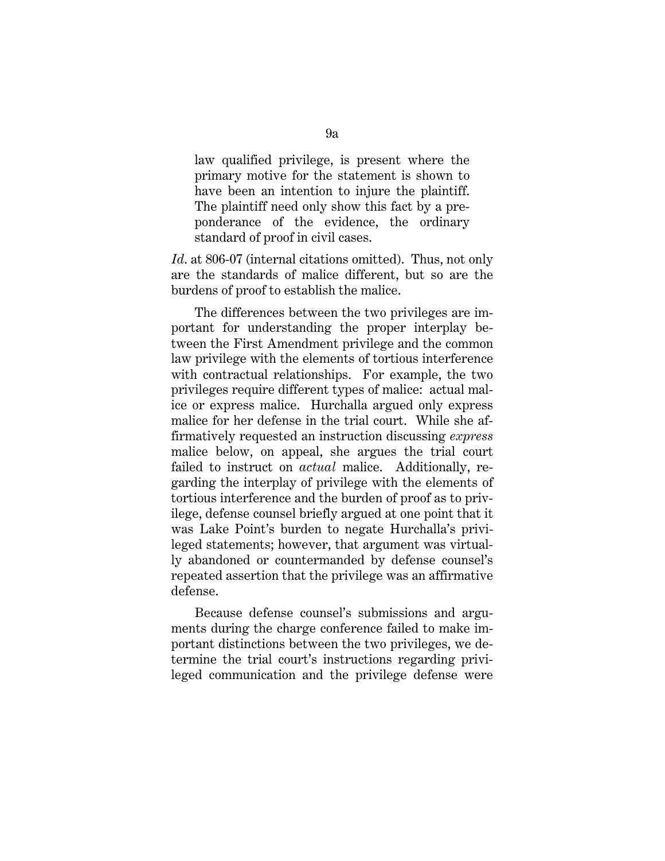law qualified privilege, is present where the primary motive for the statement is shown to have been an intention to injure the plaintiff. The plaintiff need only show this fact by a preponderance of the evidence, the ordinary standard of proof in civil cases.

Id. at 806-07 (internal citations omitted). Thus, not only are the standards of malice different, but so are the burdens of proof to establish the malice.

The differences between the two privileges are important for understanding the proper interplay between the First Amendment privilege and the common law privilege with the elements of tortious interference with contractual relationships. For example, the two privileges require different types of malice: actual malice or express malice. Hurchalla argued only express malice for her defense in the trial court. While she affirmatively requested an instruction discussing *express* malice below, on appeal, she argues the trial court failed to instruct on *actual* malice. Additionally, regarding the interplay of privilege with the elements of tortious interference and the burden of proof as to privilege, defense counsel briefly argued at one point that it was Lake Point's burden to negate Hurchalla's privileged statements; however, that argument was virtually abandoned or countermanded by defense counsel's repeated assertion that the privilege was an affirmative defense.

Because defense counsel's submissions and arguments during the charge conference failed to make important distinctions between the two privileges, we determine the trial court's instructions regarding privileged communication and the privilege defense were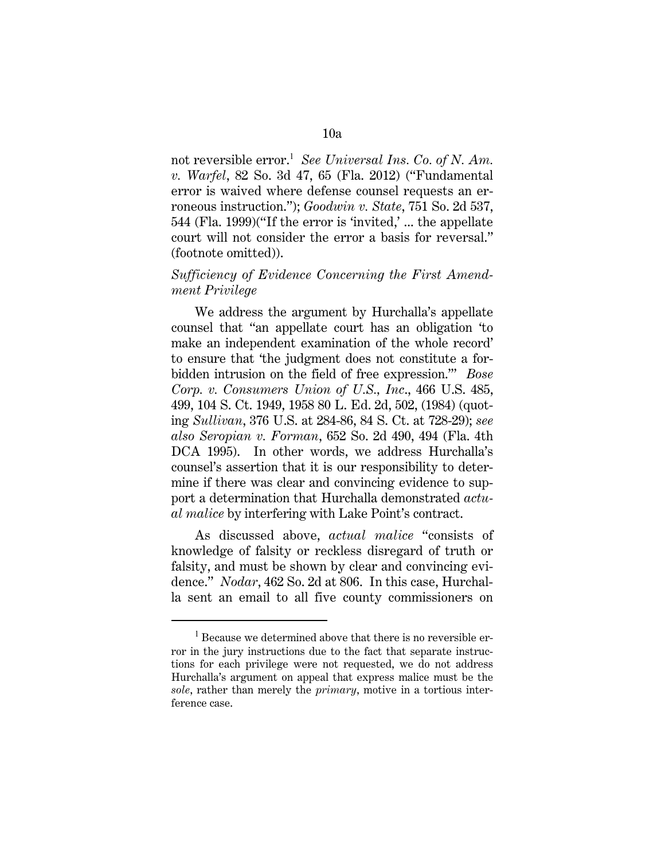not reversible error.<sup>1</sup> See Universal Ins. Co. of N. Am. *v. Warfel*, 82 So. 3d 47, 65 (Fla. 2012) ("Fundamental error is waived where defense counsel requests an erroneous instruction."); *Goodwin v. State*, 751 So. 2d 537, 544 (Fla. 1999)("If the error is 'invited,' ... the appellate court will not consider the error a basis for reversal." (footnote omitted)).

# *Sufficiency of Evidence Concerning the First Amendment Privilege*

We address the argument by Hurchalla's appellate counsel that "an appellate court has an obligation 'to make an independent examination of the whole record' to ensure that 'the judgment does not constitute a forbidden intrusion on the field of free expression.'" *Bose Corp. v. Consumers Union of U.S., Inc*., 466 U.S. 485, 499, 104 S. Ct. 1949, 1958 80 L. Ed. 2d, 502, (1984) (quoting *Sullivan*, 376 U.S. at 284-86, 84 S. Ct. at 728-29); *see also Seropian v. Forman*, 652 So. 2d 490, 494 (Fla. 4th DCA 1995). In other words, we address Hurchalla's counsel's assertion that it is our responsibility to determine if there was clear and convincing evidence to support a determination that Hurchalla demonstrated *actual malice* by interfering with Lake Point's contract.

As discussed above, *actual malice* "consists of knowledge of falsity or reckless disregard of truth or falsity, and must be shown by clear and convincing evidence." *Nodar*, 462 So. 2d at 806. In this case, Hurchalla sent an email to all five county commissioners on

<sup>&</sup>lt;sup>1</sup> Because we determined above that there is no reversible error in the jury instructions due to the fact that separate instructions for each privilege were not requested, we do not address Hurchalla's argument on appeal that express malice must be the *sole*, rather than merely the *primary*, motive in a tortious interference case.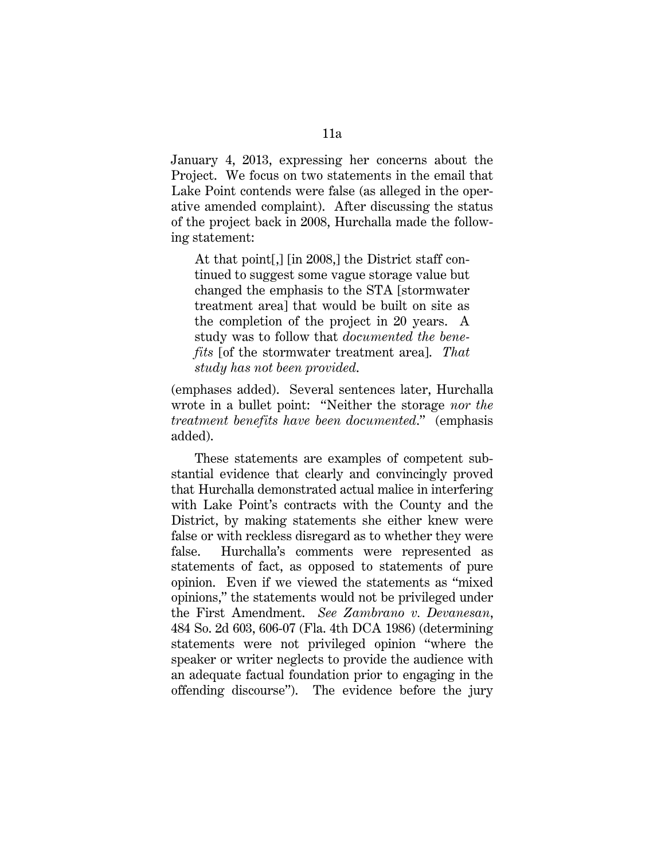January 4, 2013, expressing her concerns about the Project. We focus on two statements in the email that Lake Point contends were false (as alleged in the operative amended complaint). After discussing the status of the project back in 2008, Hurchalla made the following statement:

At that point[,] [in 2008,] the District staff continued to suggest some vague storage value but changed the emphasis to the STA [stormwater treatment area] that would be built on site as the completion of the project in 20 years. A study was to follow that *documented the benefits* [of the stormwater treatment area]. *That study has not been provided*.

(emphases added). Several sentences later, Hurchalla wrote in a bullet point: "Neither the storage *nor the treatment benefits have been documented*." (emphasis added).

These statements are examples of competent substantial evidence that clearly and convincingly proved that Hurchalla demonstrated actual malice in interfering with Lake Point's contracts with the County and the District, by making statements she either knew were false or with reckless disregard as to whether they were false. Hurchalla's comments were represented as statements of fact, as opposed to statements of pure opinion. Even if we viewed the statements as "mixed opinions," the statements would not be privileged under the First Amendment. *See Zambrano v. Devanesan*, 484 So. 2d 603, 606-07 (Fla. 4th DCA 1986) (determining statements were not privileged opinion "where the speaker or writer neglects to provide the audience with an adequate factual foundation prior to engaging in the offending discourse"). The evidence before the jury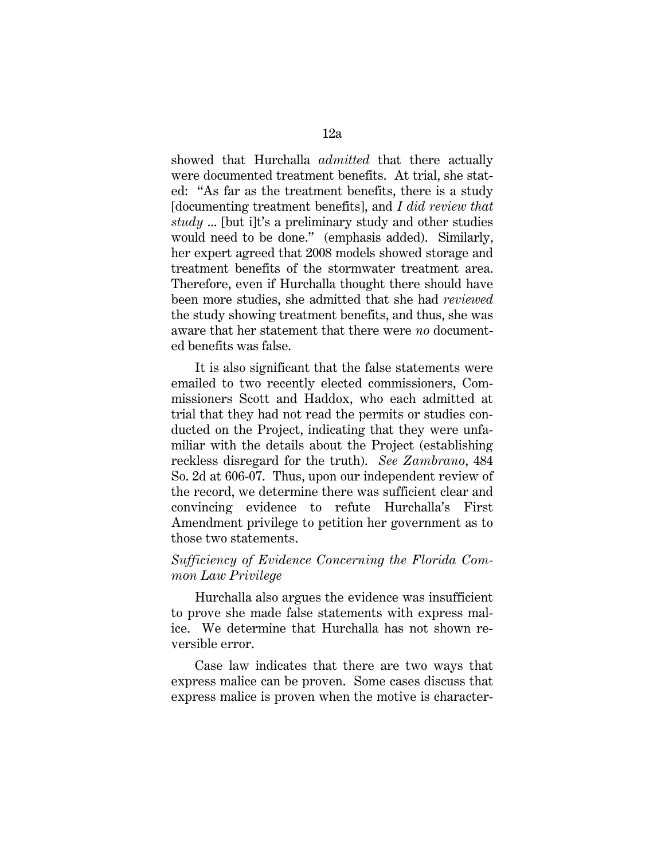showed that Hurchalla *admitted* that there actually were documented treatment benefits. At trial, she stated: "As far as the treatment benefits, there is a study [documenting treatment benefits], and *I did review that study* ... [but i]t's a preliminary study and other studies would need to be done." (emphasis added). Similarly, her expert agreed that 2008 models showed storage and treatment benefits of the stormwater treatment area. Therefore, even if Hurchalla thought there should have been more studies, she admitted that she had *reviewed* the study showing treatment benefits, and thus, she was aware that her statement that there were *no* documented benefits was false.

It is also significant that the false statements were emailed to two recently elected commissioners, Commissioners Scott and Haddox, who each admitted at trial that they had not read the permits or studies conducted on the Project, indicating that they were unfamiliar with the details about the Project (establishing reckless disregard for the truth). *See Zambrano*, 484 So. 2d at 606-07. Thus, upon our independent review of the record, we determine there was sufficient clear and convincing evidence to refute Hurchalla's First Amendment privilege to petition her government as to those two statements.

# *Sufficiency of Evidence Concerning the Florida Common Law Privilege*

Hurchalla also argues the evidence was insufficient to prove she made false statements with express malice. We determine that Hurchalla has not shown reversible error.

Case law indicates that there are two ways that express malice can be proven. Some cases discuss that express malice is proven when the motive is character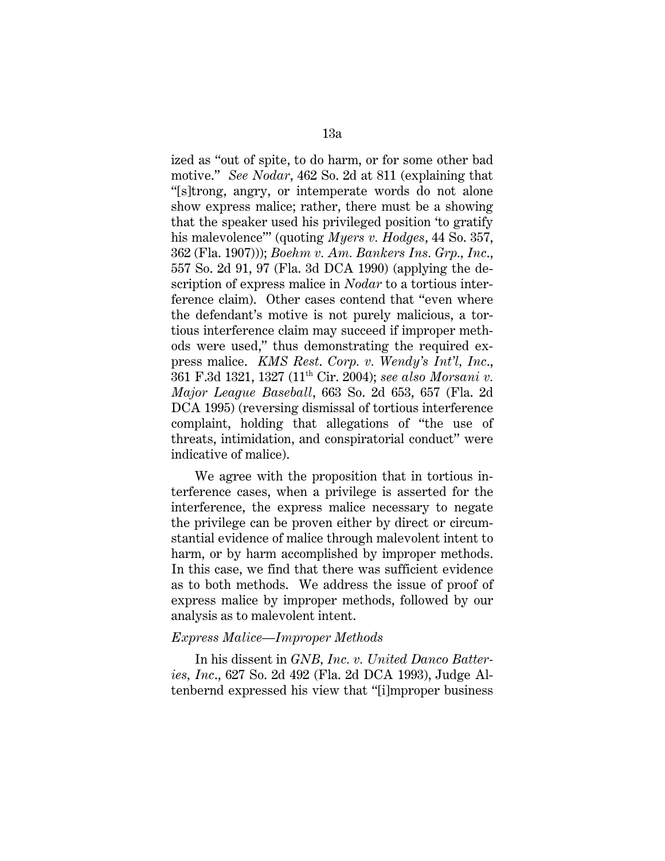ized as "out of spite, to do harm, or for some other bad motive." *See Nodar*, 462 So. 2d at 811 (explaining that "[s]trong, angry, or intemperate words do not alone show express malice; rather, there must be a showing that the speaker used his privileged position 'to gratify his malevolence'" (quoting *Myers v. Hodges*, 44 So. 357, 362 (Fla. 1907))); *Boehm v. Am. Bankers Ins. Grp., Inc*., 557 So. 2d 91, 97 (Fla. 3d DCA 1990) (applying the description of express malice in *Nodar* to a tortious interference claim). Other cases contend that "even where the defendant's motive is not purely malicious, a tortious interference claim may succeed if improper methods were used," thus demonstrating the required express malice. *KMS Rest*. *Corp. v. Wendy's Int'l, Inc*., 361 F.3d 1321, 1327 (11th Cir. 2004); *see also Morsani v. Major League Baseball*, 663 So. 2d 653, 657 (Fla. 2d DCA 1995) (reversing dismissal of tortious interference complaint, holding that allegations of "the use of threats, intimidation, and conspiratorial conduct" were indicative of malice).

We agree with the proposition that in tortious interference cases, when a privilege is asserted for the interference, the express malice necessary to negate the privilege can be proven either by direct or circumstantial evidence of malice through malevolent intent to harm, or by harm accomplished by improper methods. In this case, we find that there was sufficient evidence as to both methods. We address the issue of proof of express malice by improper methods, followed by our analysis as to malevolent intent.

## *Express Malice—Improper Methods*

In his dissent in *GNB, Inc. v. United Danco Batteries, Inc*., 627 So. 2d 492 (Fla. 2d DCA 1993), Judge Altenbernd expressed his view that "[i]mproper business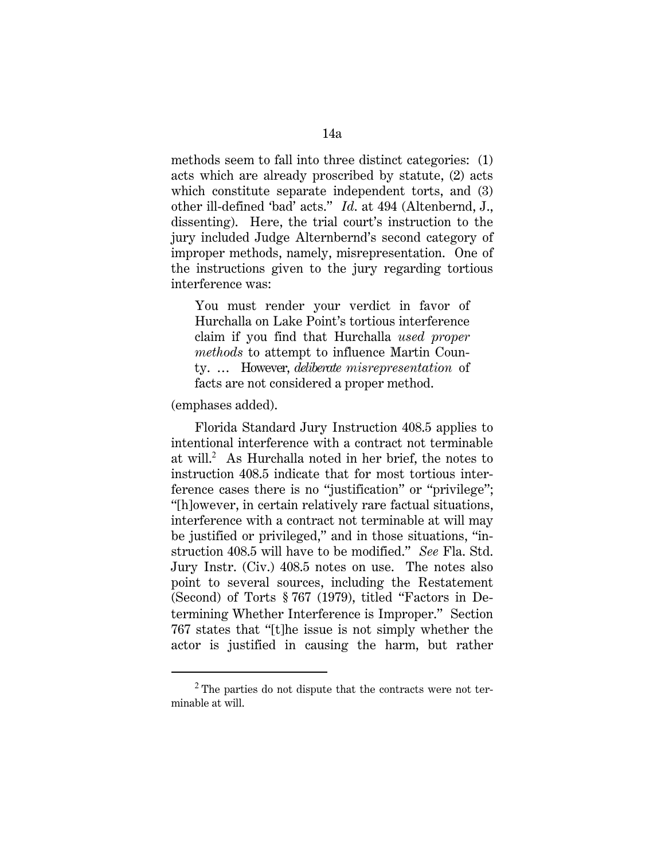methods seem to fall into three distinct categories: (1) acts which are already proscribed by statute, (2) acts which constitute separate independent torts, and (3) other ill-defined 'bad' acts." *Id*. at 494 (Altenbernd, J., dissenting). Here, the trial court's instruction to the jury included Judge Alternbernd's second category of improper methods, namely, misrepresentation. One of the instructions given to the jury regarding tortious interference was:

You must render your verdict in favor of Hurchalla on Lake Point's tortious interference claim if you find that Hurchalla *used proper methods* to attempt to influence Martin County. … However, *deliberate misrepresentation* of facts are not considered a proper method.

## (emphases added).

Florida Standard Jury Instruction 408.5 applies to intentional interference with a contract not terminable at will.<sup>2</sup> As Hurchalla noted in her brief, the notes to instruction 408.5 indicate that for most tortious interference cases there is no "justification" or "privilege"; "[h]owever, in certain relatively rare factual situations, interference with a contract not terminable at will may be justified or privileged," and in those situations, "instruction 408.5 will have to be modified." *See* Fla. Std. Jury Instr. (Civ.) 408.5 notes on use. The notes also point to several sources, including the Restatement (Second) of Torts § 767 (1979), titled "Factors in Determining Whether Interference is Improper." Section 767 states that "[t]he issue is not simply whether the actor is justified in causing the harm, but rather

 $2$  The parties do not dispute that the contracts were not terminable at will.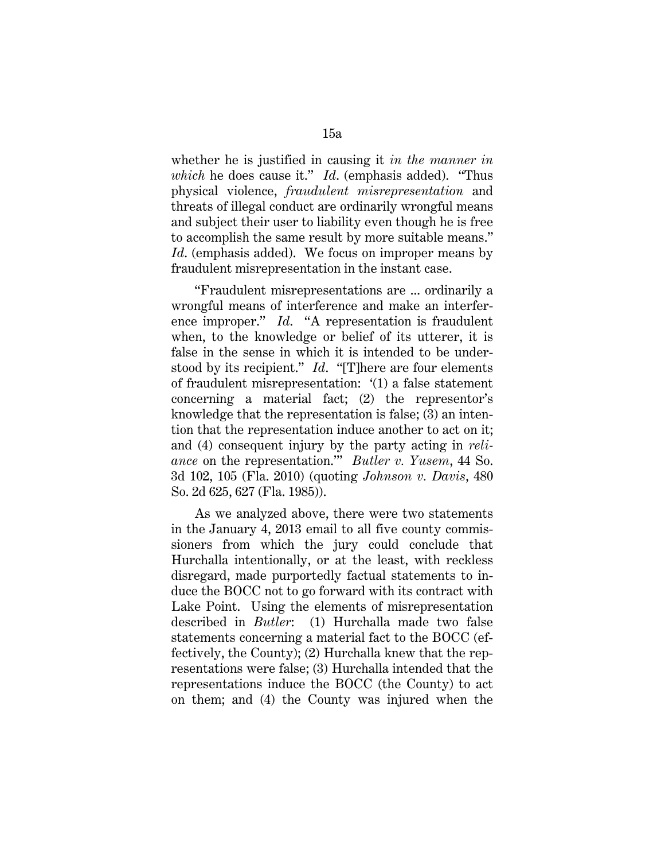whether he is justified in causing it *in the manner in which* he does cause it." *Id*. (emphasis added). "Thus physical violence, *fraudulent misrepresentation* and threats of illegal conduct are ordinarily wrongful means and subject their user to liability even though he is free to accomplish the same result by more suitable means." *Id*. (emphasis added). We focus on improper means by fraudulent misrepresentation in the instant case.

"Fraudulent misrepresentations are ... ordinarily a wrongful means of interference and make an interference improper." *Id*. "A representation is fraudulent when, to the knowledge or belief of its utterer, it is false in the sense in which it is intended to be understood by its recipient." *Id*. "[T]here are four elements of fraudulent misrepresentation: '(1) a false statement concerning a material fact; (2) the representor's knowledge that the representation is false; (3) an intention that the representation induce another to act on it; and (4) consequent injury by the party acting in *reliance* on the representation.'" *Butler v. Yusem*, 44 So. 3d 102, 105 (Fla. 2010) (quoting *Johnson v. Davis*, 480 So. 2d 625, 627 (Fla. 1985)).

As we analyzed above, there were two statements in the January 4, 2013 email to all five county commissioners from which the jury could conclude that Hurchalla intentionally, or at the least, with reckless disregard, made purportedly factual statements to induce the BOCC not to go forward with its contract with Lake Point. Using the elements of misrepresentation described in *Butler*: (1) Hurchalla made two false statements concerning a material fact to the BOCC (effectively, the County); (2) Hurchalla knew that the representations were false; (3) Hurchalla intended that the representations induce the BOCC (the County) to act on them; and (4) the County was injured when the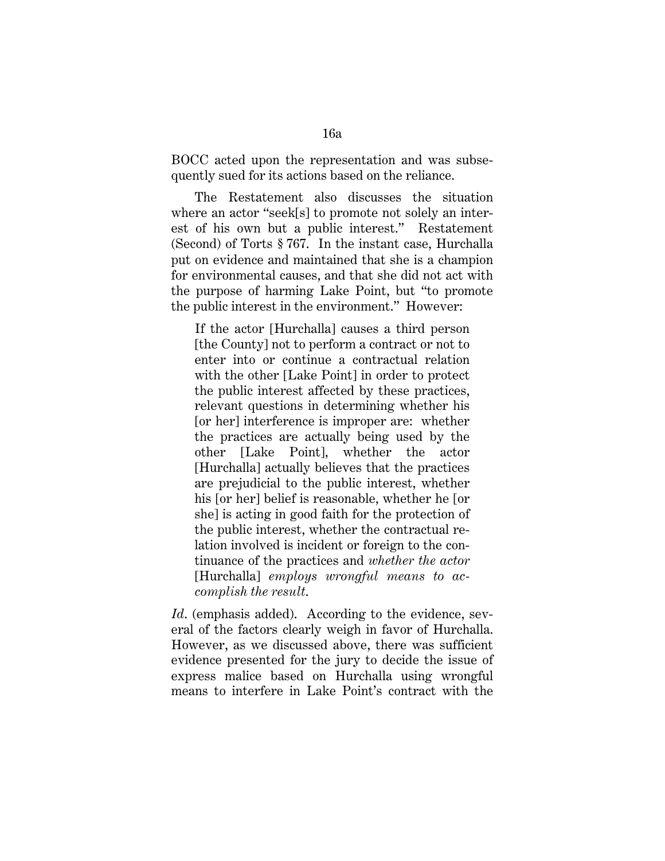BOCC acted upon the representation and was subsequently sued for its actions based on the reliance.

The Restatement also discusses the situation where an actor "seek[s] to promote not solely an interest of his own but a public interest." Restatement (Second) of Torts § 767. In the instant case, Hurchalla put on evidence and maintained that she is a champion for environmental causes, and that she did not act with the purpose of harming Lake Point, but "to promote the public interest in the environment." However:

If the actor [Hurchalla] causes a third person [the County] not to perform a contract or not to enter into or continue a contractual relation with the other [Lake Point] in order to protect the public interest affected by these practices, relevant questions in determining whether his [or her] interference is improper are: whether the practices are actually being used by the other [Lake Point], whether the actor [Hurchalla] actually believes that the practices are prejudicial to the public interest, whether his [or her] belief is reasonable, whether he [or she] is acting in good faith for the protection of the public interest, whether the contractual relation involved is incident or foreign to the continuance of the practices and *whether the actor* [Hurchalla] *employs wrongful means to accomplish the result*.

Id. (emphasis added). According to the evidence, several of the factors clearly weigh in favor of Hurchalla. However, as we discussed above, there was sufficient evidence presented for the jury to decide the issue of express malice based on Hurchalla using wrongful means to interfere in Lake Point's contract with the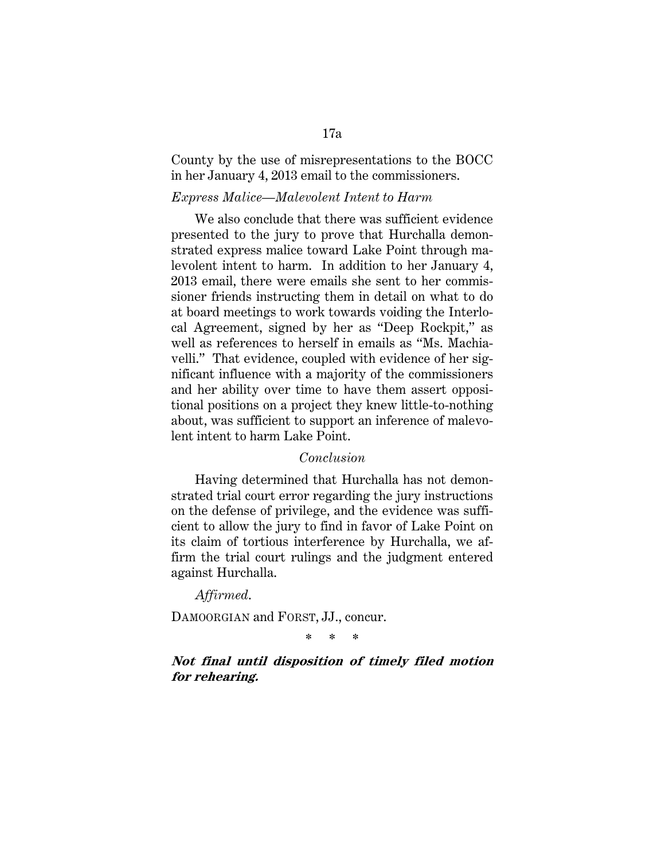County by the use of misrepresentations to the BOCC in her January 4, 2013 email to the commissioners.

## *Express Malice—Malevolent Intent to Harm*

We also conclude that there was sufficient evidence presented to the jury to prove that Hurchalla demonstrated express malice toward Lake Point through malevolent intent to harm. In addition to her January 4, 2013 email, there were emails she sent to her commissioner friends instructing them in detail on what to do at board meetings to work towards voiding the Interlocal Agreement, signed by her as "Deep Rockpit," as well as references to herself in emails as "Ms. Machiavelli." That evidence, coupled with evidence of her significant influence with a majority of the commissioners and her ability over time to have them assert oppositional positions on a project they knew little-to-nothing about, was sufficient to support an inference of malevolent intent to harm Lake Point.

## *Conclusion*

Having determined that Hurchalla has not demonstrated trial court error regarding the jury instructions on the defense of privilege, and the evidence was sufficient to allow the jury to find in favor of Lake Point on its claim of tortious interference by Hurchalla, we affirm the trial court rulings and the judgment entered against Hurchalla.

## *Affirmed*.

DAMOORGIAN and FORST, JJ., concur.

**\* \* \*** 

# **Not final until disposition of timely filed motion for rehearing.**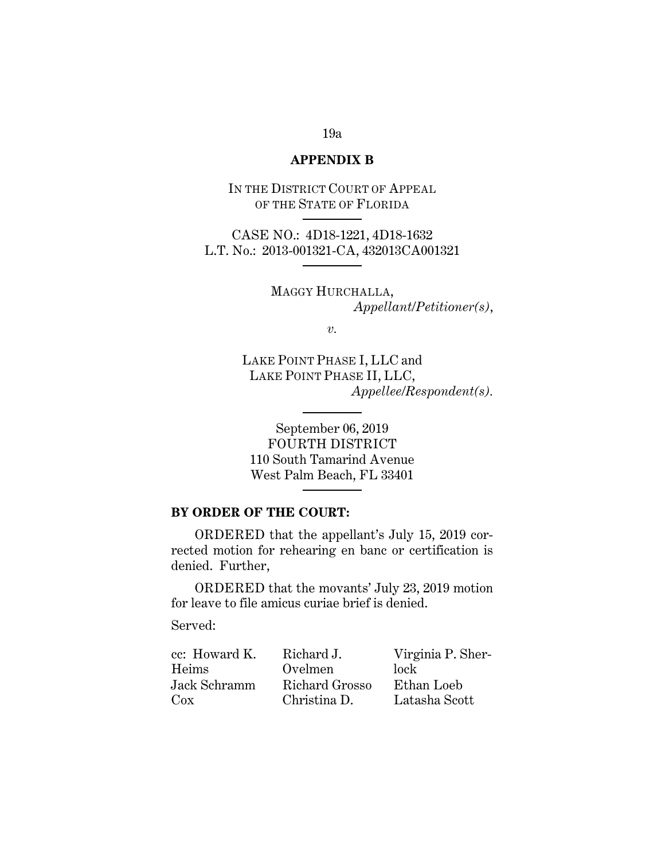## **APPENDIX B**

IN THE DISTRICT COURT OF APPEAL OF THE STATE OF FLORIDA

CASE NO.: 4D18-1221, 4D18-1632 L.T. No.: 2013-001321-CA, 432013CA001321

> MAGGY HURCHALLA, *Appellant/Petitioner(s)*,

> > *v.*

LAKE POINT PHASE I, LLC and LAKE POINT PHASE II, LLC, *Appellee/Respondent(s).* 

September 06, 2019 FOURTH DISTRICT 110 South Tamarind Avenue West Palm Beach, FL 33401

## **BY ORDER OF THE COURT:**

ORDERED that the appellant's July 15, 2019 corrected motion for rehearing en banc or certification is denied. Further,

ORDERED that the movants' July 23, 2019 motion for leave to file amicus curiae brief is denied.

Served:

| cc: Howard K. | Richard J.     | Virginia P. Sher- |
|---------------|----------------|-------------------|
| Heims         | Ovelmen        | lock              |
| Jack Schramm  | Richard Grosso | Ethan Loeb        |
| $\cos$        | Christina D.   | Latasha Scott     |

# 19a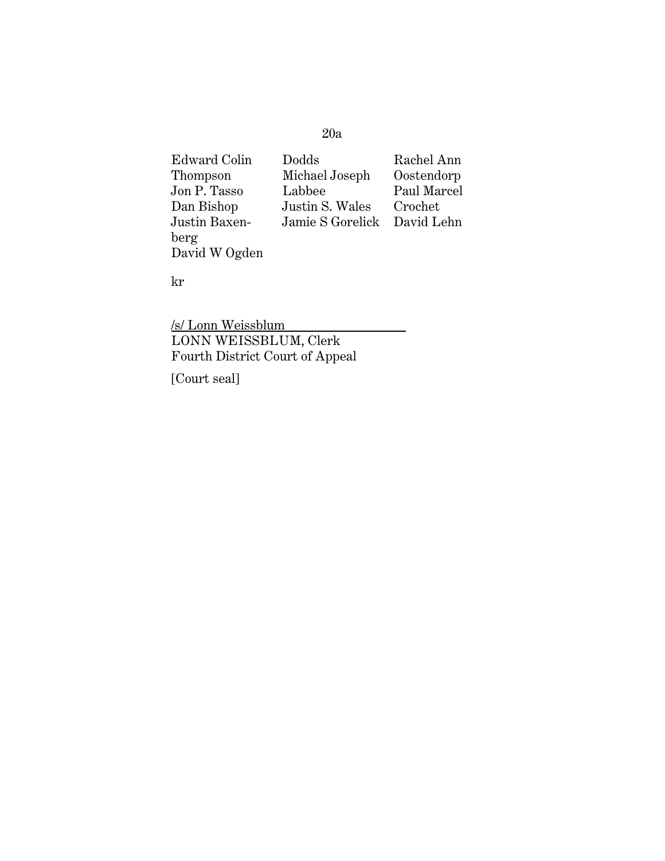# 20a

| Edward Colin  | Dodds            | Rachel Ann  |
|---------------|------------------|-------------|
| Thompson      | Michael Joseph   | Oostendorp  |
| Jon P. Tasso  | Labbee           | Paul Marcel |
| Dan Bishop    | Justin S. Wales  | Crochet     |
| Justin Baxen- | Jamie S Gorelick | David Lehn  |
| berg          |                  |             |
| David W Ogden |                  |             |

kr

/s/ Lonn Weissblum LONN WEISSBLUM, Clerk Fourth District Court of Appeal

[Court seal]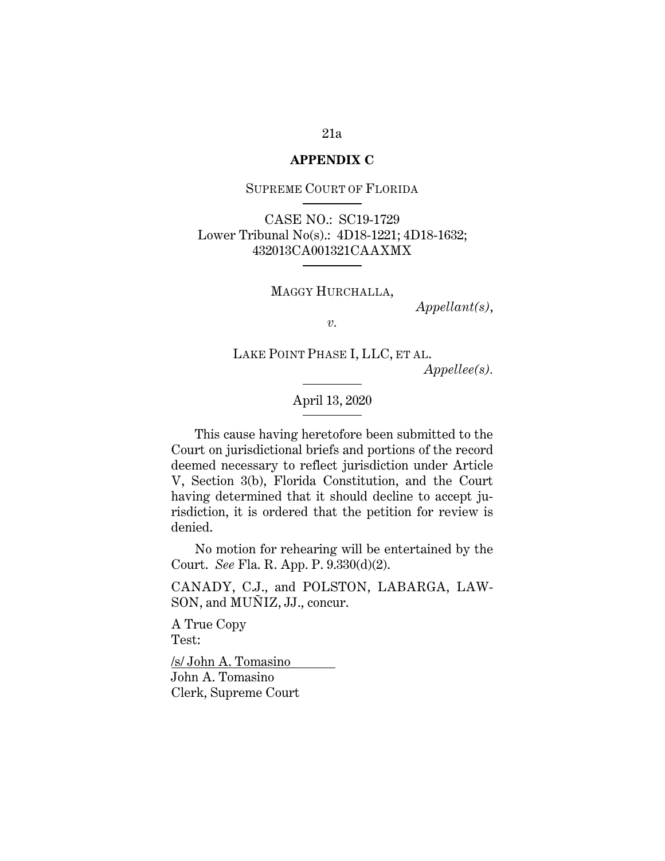#### **APPENDIX C**

SUPREME COURT OF FLORIDA

CASE NO.: SC19-1729 Lower Tribunal No(s).: 4D18-1221; 4D18-1632; 432013CA001321CAAXMX

MAGGY HURCHALLA,

*Appellant(s)*,

*v.* 

LAKE POINT PHASE I, LLC, ET AL.

*Appellee(s).* 

April 13, 2020

This cause having heretofore been submitted to the Court on jurisdictional briefs and portions of the record deemed necessary to reflect jurisdiction under Article V, Section 3(b), Florida Constitution, and the Court having determined that it should decline to accept jurisdiction, it is ordered that the petition for review is denied.

No motion for rehearing will be entertained by the Court. *See* Fla. R. App. P. 9.330(d)(2).

CANADY, C.J., and POLSTON, LABARGA, LAW-SON, and MUÑIZ, JJ., concur.

A True Copy Test:

/s/ John A. Tomasino John A. Tomasino Clerk, Supreme Court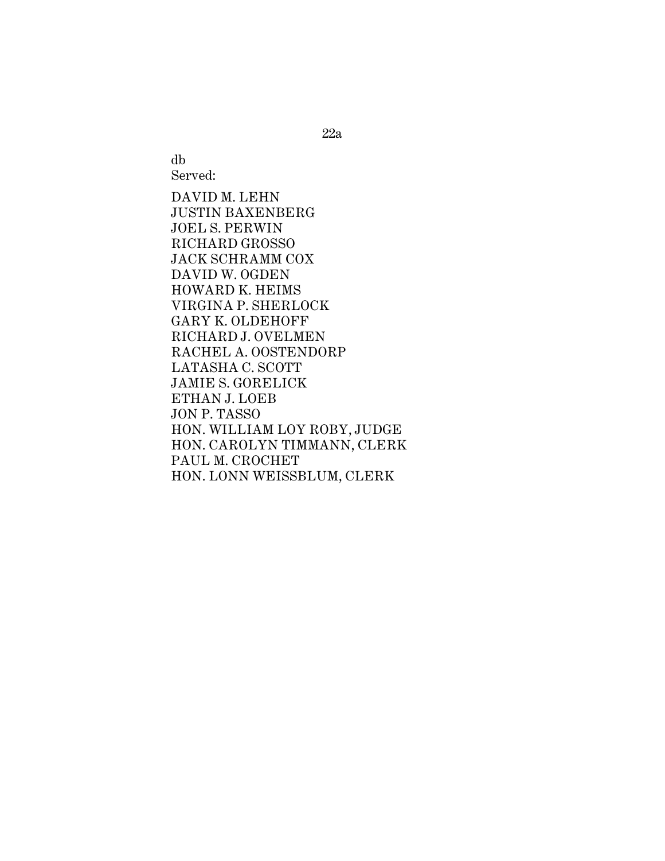db Served:

DAVID M. LEHN JUSTIN BAXENBERG JOEL S. PERWIN RICHARD GROSSO JACK SCHRAMM COX DAVID W. OGDEN HOWARD K. HEIMS VIRGINA P. SHERLOCK GARY K. OLDEHOFF RICHARD J. OVELMEN RACHEL A. OOSTENDORP LATASHA C. SCOTT JAMIE S. GORELICK ETHAN J. LOEB JON P. TASSO HON. WILLIAM LOY ROBY, JUDGE HON. CAROLYN TIMMANN, CLERK PAUL M. CROCHET HON. LONN WEISSBLUM, CLERK

22a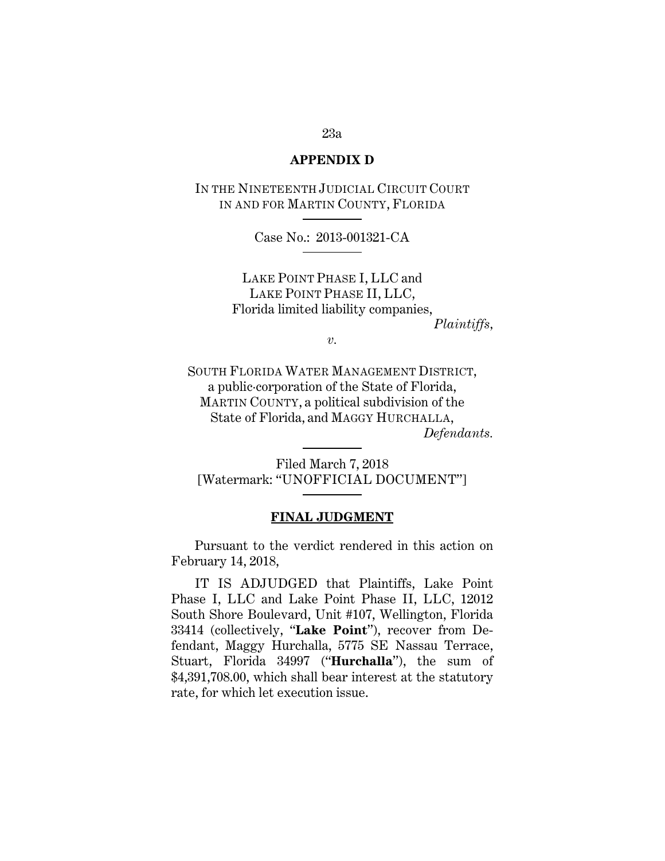## **APPENDIX D**

IN THE NINETEENTH JUDICIAL CIRCUIT COURT IN AND FOR MARTIN COUNTY, FLORIDA

Case No.: 2013-001321-CA

LAKE POINT PHASE I, LLC and LAKE POINT PHASE II, LLC, Florida limited liability companies,

*Plaintiffs,*

*v.* 

SOUTH FLORIDA WATER MANAGEMENT DISTRICT, a public·corporation of the State of Florida, MARTIN COUNTY, a political subdivision of the State of Florida, and MAGGY HURCHALLA, *Defendants.* 

Filed March 7, 2018 [Watermark: "UNOFFICIAL DOCUMENT"]

## **FINAL JUDGMENT**

Pursuant to the verdict rendered in this action on February 14, 2018,

IT IS ADJUDGED that Plaintiffs, Lake Point Phase I, LLC and Lake Point Phase II, LLC, 12012 South Shore Boulevard, Unit #107, Wellington, Florida 33414 (collectively, "**Lake Point**"), recover from Defendant, Maggy Hurchalla, 5775 SE Nassau Terrace, Stuart, Florida 34997 ("**Hurchalla**"), the sum of \$4,391,708.00, which shall bear interest at the statutory rate, for which let execution issue.

# 23a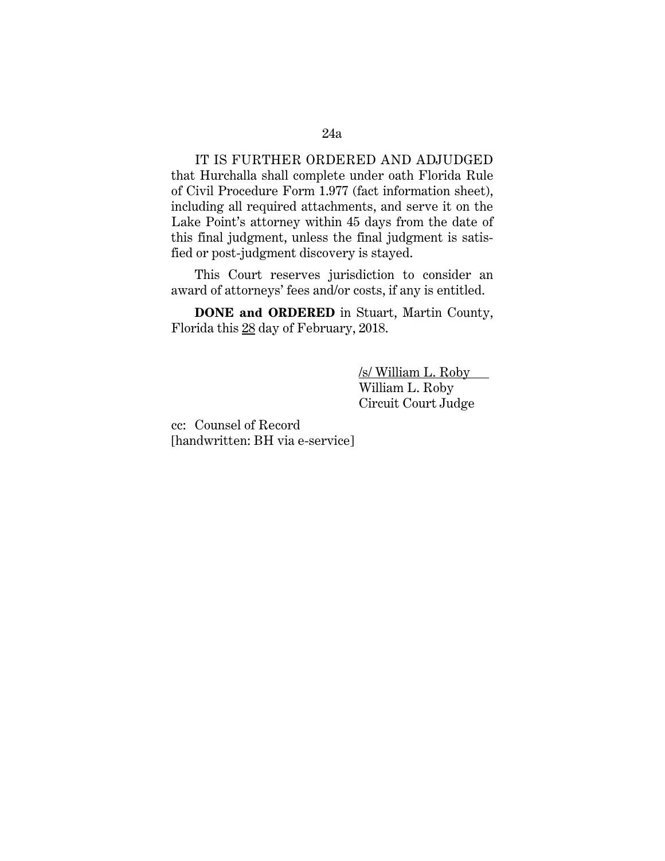IT IS FURTHER ORDERED AND ADJUDGED that Hurchalla shall complete under oath Florida Rule of Civil Procedure Form 1.977 (fact information sheet), including all required attachments, and serve it on the Lake Point's attorney within 45 days from the date of this final judgment, unless the final judgment is satisfied or post-judgment discovery is stayed.

This Court reserves jurisdiction to consider an award of attorneys' fees and/or costs, if any is entitled.

**DONE and ORDERED** in Stuart, Martin County, Florida this 28 day of February, 2018.

> /s/ William L. Roby William L. Roby Circuit Court Judge

cc: Counsel of Record [handwritten: BH via e-service]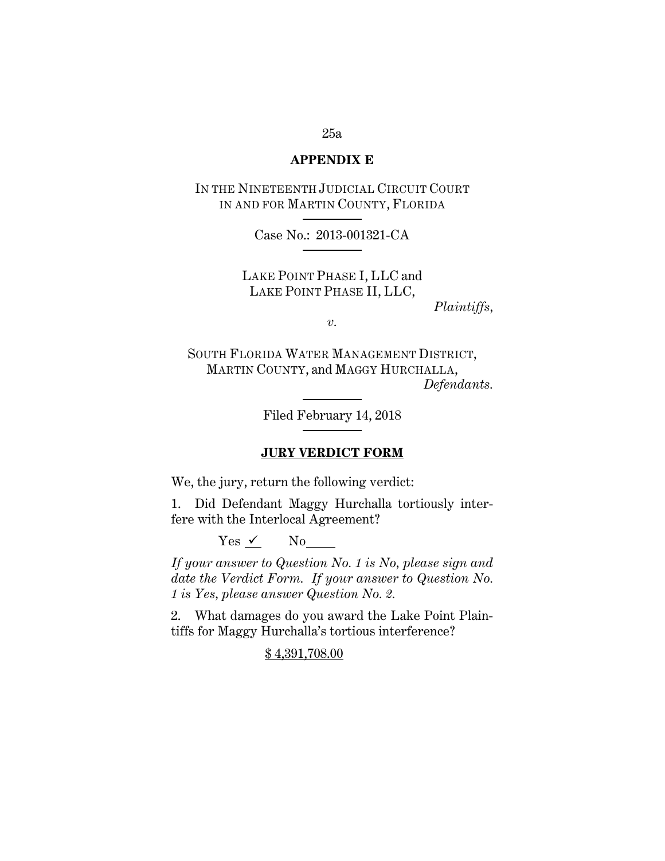## **APPENDIX E**

IN THE NINETEENTH JUDICIAL CIRCUIT COURT IN AND FOR MARTIN COUNTY, FLORIDA

Case No.: 2013-001321-CA

LAKE POINT PHASE I, LLC and LAKE POINT PHASE II, LLC,

*Plaintiffs,*

*v.* 

SOUTH FLORIDA WATER MANAGEMENT DISTRICT, MARTIN COUNTY, and MAGGY HURCHALLA, *Defendants.* 

Filed February 14, 2018

## **JURY VERDICT FORM**

We, the jury, return the following verdict:

1. Did Defendant Maggy Hurchalla tortiously interfere with the Interlocal Agreement?

 $Yes \checkmark$  No

*If your answer to Question No. 1 is No, please sign and date the Verdict Form. If your answer to Question No. 1 is Yes, please answer Question No. 2.* 

2. What damages do you award the Lake Point Plaintiffs for Maggy Hurchalla's tortious interference?

# \$ 4,391,708.00

## 25a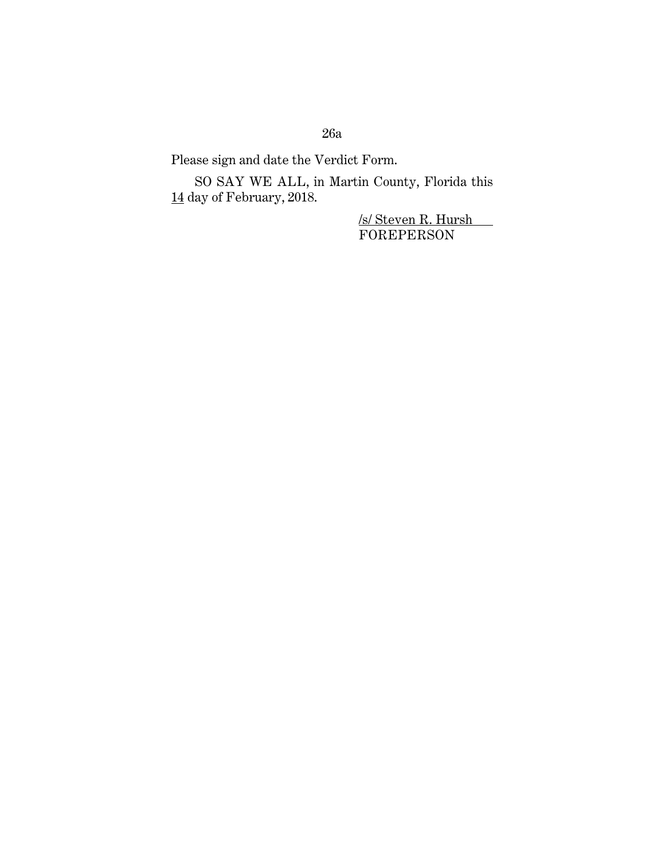# 26a

Please sign and date the Verdict Form.

SO SAY WE ALL, in Martin County, Florida this  $\underline{14}$  day of February, 2018.

> <u>/s/ Steven R. Hursh\_</u> FOREPERSON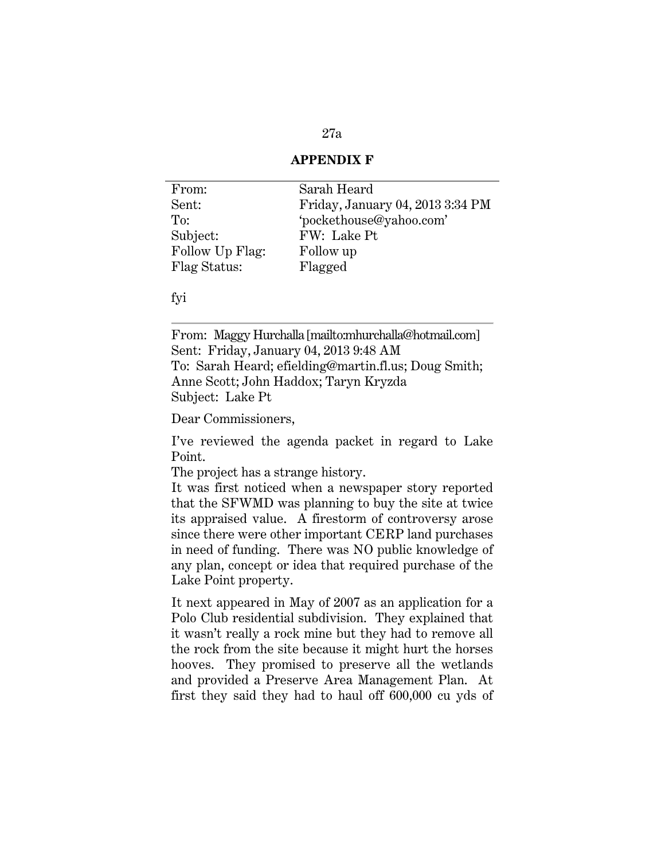# 27a

# **APPENDIX F**

| From:           | Sarah Heard                      |
|-----------------|----------------------------------|
| Sent:           | Friday, January 04, 2013 3:34 PM |
| To:             | 'pockethouse@yahoo.com'          |
| Subject:        | FW: Lake Pt                      |
| Follow Up Flag: | Follow up                        |
| Flag Status:    | Flagged                          |

## fyi

From: Maggy Hurchalla [mailto:mhurchalla@hotmail.com] Sent: Friday, January 04, 2013 9:48 AM To: Sarah Heard; efielding@martin.fl.us; Doug Smith; Anne Scott; John Haddox; Taryn Kryzda Subject: Lake Pt

Dear Commissioners,

I've reviewed the agenda packet in regard to Lake Point.

The project has a strange history.

It was first noticed when a newspaper story reported that the SFWMD was planning to buy the site at twice its appraised value. A firestorm of controversy arose since there were other important CERP land purchases in need of funding. There was NO public knowledge of any plan, concept or idea that required purchase of the Lake Point property.

It next appeared in May of 2007 as an application for a Polo Club residential subdivision. They explained that it wasn't really a rock mine but they had to remove all the rock from the site because it might hurt the horses hooves. They promised to preserve all the wetlands and provided a Preserve Area Management Plan. At first they said they had to haul off 600,000 cu yds of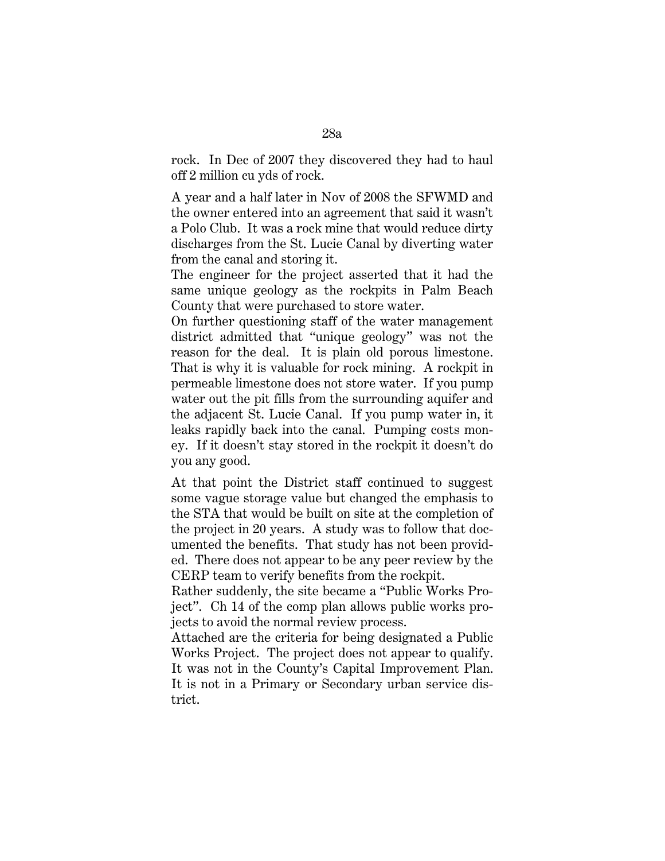rock. In Dec of 2007 they discovered they had to haul off 2 million cu yds of rock.

A year and a half later in Nov of 2008 the SFWMD and the owner entered into an agreement that said it wasn't a Polo Club. It was a rock mine that would reduce dirty discharges from the St. Lucie Canal by diverting water from the canal and storing it.

The engineer for the project asserted that it had the same unique geology as the rockpits in Palm Beach County that were purchased to store water.

On further questioning staff of the water management district admitted that "unique geology" was not the reason for the deal. It is plain old porous limestone. That is why it is valuable for rock mining. A rockpit in permeable limestone does not store water. If you pump water out the pit fills from the surrounding aquifer and the adjacent St. Lucie Canal. If you pump water in, it leaks rapidly back into the canal. Pumping costs money. If it doesn't stay stored in the rockpit it doesn't do you any good.

At that point the District staff continued to suggest some vague storage value but changed the emphasis to the STA that would be built on site at the completion of the project in 20 years. A study was to follow that documented the benefits. That study has not been provided. There does not appear to be any peer review by the CERP team to verify benefits from the rockpit.

Rather suddenly, the site became a "Public Works Project". Ch 14 of the comp plan allows public works projects to avoid the normal review process.

Attached are the criteria for being designated a Public Works Project. The project does not appear to qualify. It was not in the County's Capital Improvement Plan. It is not in a Primary or Secondary urban service district.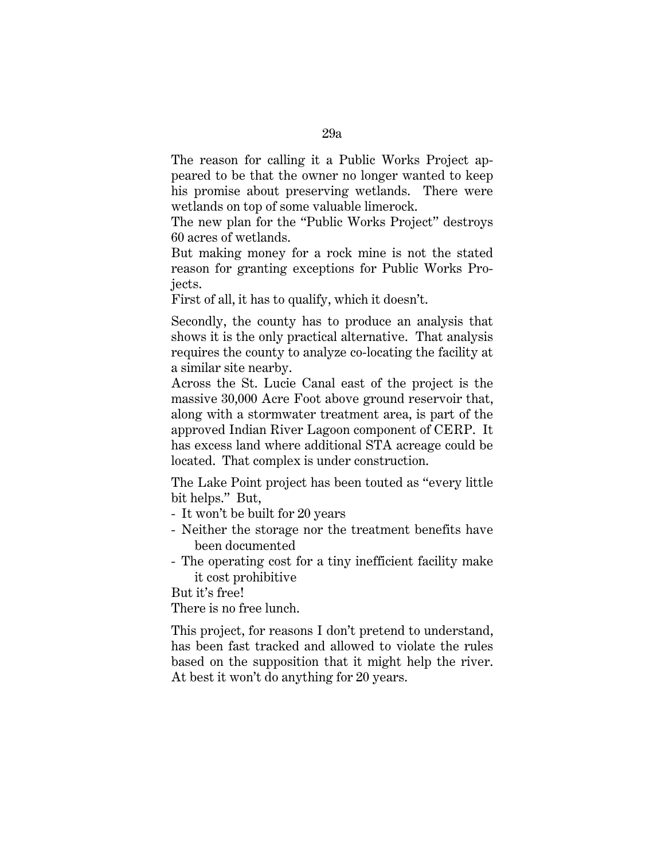The reason for calling it a Public Works Project appeared to be that the owner no longer wanted to keep his promise about preserving wetlands. There were wetlands on top of some valuable limerock.

The new plan for the "Public Works Project" destroys 60 acres of wetlands.

But making money for a rock mine is not the stated reason for granting exceptions for Public Works Projects.

First of all, it has to qualify, which it doesn't.

Secondly, the county has to produce an analysis that shows it is the only practical alternative. That analysis requires the county to analyze co-locating the facility at a similar site nearby.

Across the St. Lucie Canal east of the project is the massive 30,000 Acre Foot above ground reservoir that, along with a stormwater treatment area, is part of the approved Indian River Lagoon component of CERP. It has excess land where additional STA acreage could be located. That complex is under construction.

The Lake Point project has been touted as "every little bit helps." But,

- It won't be built for 20 years
- Neither the storage nor the treatment benefits have been documented
- The operating cost for a tiny inefficient facility make it cost prohibitive

But it's free!

There is no free lunch.

This project, for reasons I don't pretend to understand, has been fast tracked and allowed to violate the rules based on the supposition that it might help the river. At best it won't do anything for 20 years.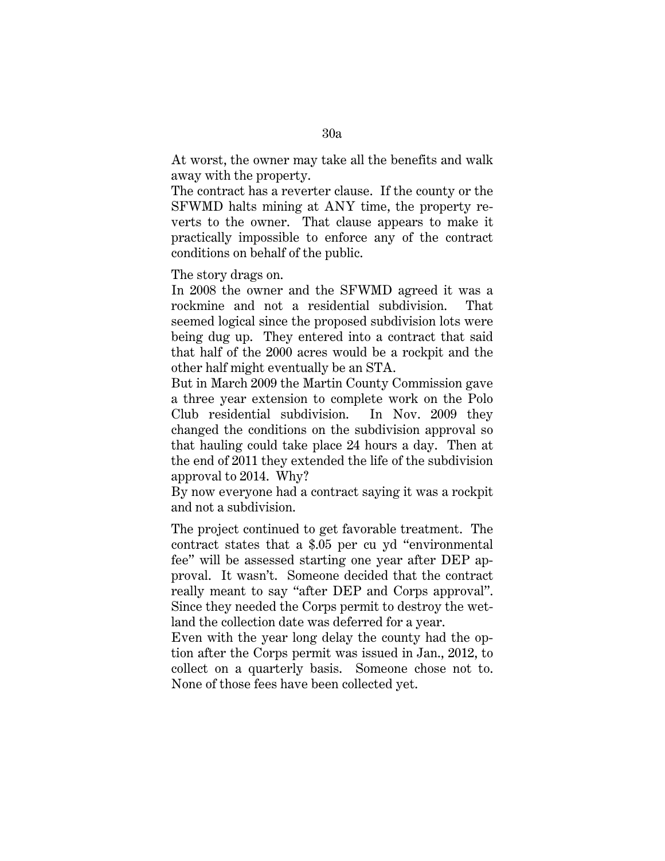At worst, the owner may take all the benefits and walk away with the property.

The contract has a reverter clause. If the county or the SFWMD halts mining at ANY time, the property reverts to the owner. That clause appears to make it practically impossible to enforce any of the contract conditions on behalf of the public.

The story drags on.

In 2008 the owner and the SFWMD agreed it was a rockmine and not a residential subdivision. That seemed logical since the proposed subdivision lots were being dug up. They entered into a contract that said that half of the 2000 acres would be a rockpit and the other half might eventually be an STA.

But in March 2009 the Martin County Commission gave a three year extension to complete work on the Polo Club residential subdivision. In Nov. 2009 they changed the conditions on the subdivision approval so that hauling could take place 24 hours a day. Then at the end of 2011 they extended the life of the subdivision approval to 2014. Why?

By now everyone had a contract saying it was a rockpit and not a subdivision.

The project continued to get favorable treatment. The contract states that a \$.05 per cu yd "environmental fee" will be assessed starting one year after DEP approval. It wasn't. Someone decided that the contract really meant to say "after DEP and Corps approval". Since they needed the Corps permit to destroy the wetland the collection date was deferred for a year.

Even with the year long delay the county had the option after the Corps permit was issued in Jan., 2012, to collect on a quarterly basis. Someone chose not to. None of those fees have been collected yet.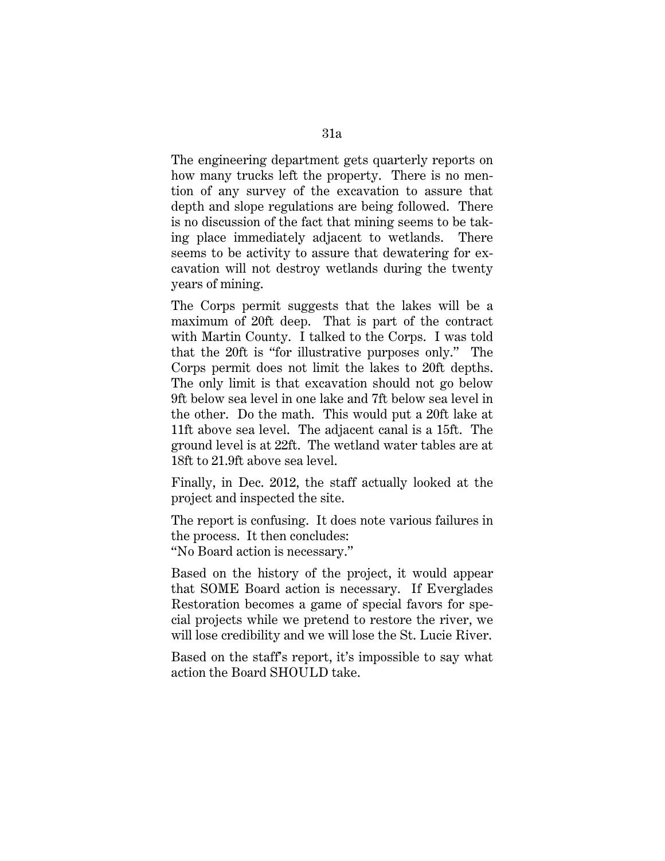The engineering department gets quarterly reports on how many trucks left the property. There is no mention of any survey of the excavation to assure that depth and slope regulations are being followed. There is no discussion of the fact that mining seems to be taking place immediately adjacent to wetlands. There seems to be activity to assure that dewatering for excavation will not destroy wetlands during the twenty years of mining.

The Corps permit suggests that the lakes will be a maximum of 20ft deep. That is part of the contract with Martin County. I talked to the Corps. I was told that the 20ft is "for illustrative purposes only." The Corps permit does not limit the lakes to 20ft depths. The only limit is that excavation should not go below 9ft below sea level in one lake and 7ft below sea level in the other. Do the math. This would put a 20ft lake at 11ft above sea level. The adjacent canal is a 15ft. The ground level is at 22ft. The wetland water tables are at 18ft to 21.9ft above sea level.

Finally, in Dec. 2012, the staff actually looked at the project and inspected the site.

The report is confusing. It does note various failures in the process. It then concludes: "No Board action is necessary."

Based on the history of the project, it would appear that SOME Board action is necessary. If Everglades Restoration becomes a game of special favors for special projects while we pretend to restore the river, we will lose credibility and we will lose the St. Lucie River.

Based on the staff's report, it's impossible to say what action the Board SHOULD take.